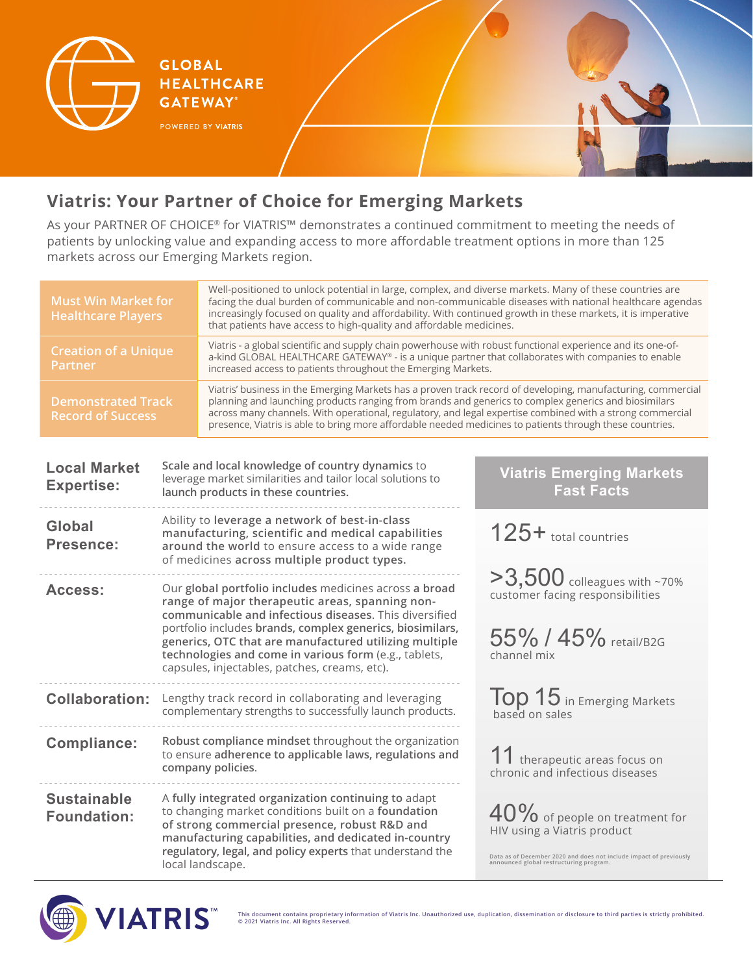

**HEALTHCARE GATEWAY®** 

**GLOBAL** 

## **Viatris: Your Partner of Choice for Emerging Markets**

As your PARTNER OF CHOICE® for VIATRIS™ demonstrates a continued commitment to meeting the needs of patients by unlocking value and expanding access to more affordable treatment options in more than 125 markets across our Emerging Markets region.

| <b>Must Win Market for</b><br><b>Healthcare Players</b> |                                                                                                                                                                                                                                                                                  | Well-positioned to unlock potential in large, complex, and diverse markets. Many of these countries are<br>facing the dual burden of communicable and non-communicable diseases with national healthcare agendas<br>increasingly focused on quality and affordability. With continued growth in these markets, it is imperative<br>that patients have access to high-quality and affordable medicines.                                        |                                                                                                               |  |  |  |
|---------------------------------------------------------|----------------------------------------------------------------------------------------------------------------------------------------------------------------------------------------------------------------------------------------------------------------------------------|-----------------------------------------------------------------------------------------------------------------------------------------------------------------------------------------------------------------------------------------------------------------------------------------------------------------------------------------------------------------------------------------------------------------------------------------------|---------------------------------------------------------------------------------------------------------------|--|--|--|
| <b>Creation of a Unique</b><br><b>Partner</b>           |                                                                                                                                                                                                                                                                                  | Viatris - a global scientific and supply chain powerhouse with robust functional experience and its one-of-<br>a-kind GLOBAL HEALTHCARE GATEWAY® - is a unique partner that collaborates with companies to enable<br>increased access to patients throughout the Emerging Markets.                                                                                                                                                            |                                                                                                               |  |  |  |
| <b>Demonstrated Track</b><br><b>Record of Success</b>   |                                                                                                                                                                                                                                                                                  | Viatris' business in the Emerging Markets has a proven track record of developing, manufacturing, commercial<br>planning and launching products ranging from brands and generics to complex generics and biosimilars<br>across many channels. With operational, regulatory, and legal expertise combined with a strong commercial<br>presence, Viatris is able to bring more affordable needed medicines to patients through these countries. |                                                                                                               |  |  |  |
|                                                         |                                                                                                                                                                                                                                                                                  |                                                                                                                                                                                                                                                                                                                                                                                                                                               |                                                                                                               |  |  |  |
| <b>Local Market</b><br><b>Expertise:</b>                |                                                                                                                                                                                                                                                                                  | Scale and local knowledge of country dynamics to<br>leverage market similarities and tailor local solutions to<br>launch products in these countries.                                                                                                                                                                                                                                                                                         | <b>Viatris Emerging Markets</b><br><b>Fast Facts</b>                                                          |  |  |  |
| Global<br>Presence:                                     |                                                                                                                                                                                                                                                                                  | Ability to leverage a network of best-in-class<br>manufacturing, scientific and medical capabilities<br>around the world to ensure access to a wide range<br>of medicines across multiple product types.                                                                                                                                                                                                                                      | 125+ total countries                                                                                          |  |  |  |
| Access:                                                 |                                                                                                                                                                                                                                                                                  | Our global portfolio includes medicines across a broad<br>range of major therapeutic areas, spanning non-<br>communicable and infectious diseases. This diversified<br>portfolio includes brands, complex generics, biosimilars,<br>generics, OTC that are manufactured utilizing multiple<br>technologies and come in various form (e.g., tablets,<br>capsules, injectables, patches, creams, etc).                                          | $>3,500$ colleagues with ~70%<br>customer facing responsibilities<br>55% / 45% retail/B2G<br>channel mix      |  |  |  |
| <b>Collaboration:</b>                                   |                                                                                                                                                                                                                                                                                  | Lengthy track record in collaborating and leveraging<br>complementary strengths to successfully launch products.                                                                                                                                                                                                                                                                                                                              | $\textsf{Top} 15$ in Emerging Markets<br>based on sales                                                       |  |  |  |
| <b>Compliance:</b>                                      | Robust compliance mindset throughout the organization<br>to ensure adherence to applicable laws, regulations and<br>company policies.                                                                                                                                            |                                                                                                                                                                                                                                                                                                                                                                                                                                               | 11 therapeutic areas focus on<br>chronic and infectious diseases                                              |  |  |  |
| <b>Sustainable</b><br><b>Foundation:</b>                | A fully integrated organization continuing to adapt<br>to changing market conditions built on a foundation<br>of strong commercial presence, robust R&D and<br>manufacturing capabilities, and dedicated in-country<br>regulatory, legal, and policy experts that understand the |                                                                                                                                                                                                                                                                                                                                                                                                                                               | 40% of people on treatment for<br>HIV using a Viatris product                                                 |  |  |  |
|                                                         |                                                                                                                                                                                                                                                                                  | local landscape.                                                                                                                                                                                                                                                                                                                                                                                                                              | Data as of December 2020 and does not include impact of previously<br>announced global restructuring program. |  |  |  |



**This document contains proprietary information of Viatris Inc. Unauthorized use, duplication, dissemination or disclosure to third parties is strictly prohibited. © 2021 Viatris Inc. All Rights Reserved.**